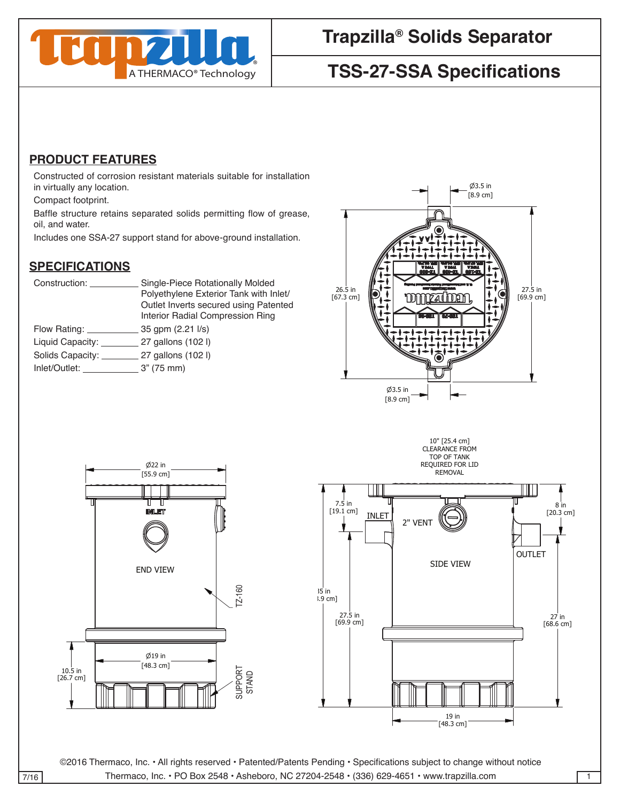

# **Trapzilla® Solids Separator**

# **TSS-27-SSA Specifications**

## **PRODUCT FEATURES**

Constructed of corrosion resistant materials suitable for installation in virtually any location.

Compact footprint.

Baffle structure retains separated solids permitting flow of grease,  $\begin{array}{ccc} \uparrow & \qquad & \qquad \qquad \bullet \qquad \qquad \bullet \qquad \qquad \bullet \qquad \qquad \bullet \qquad \qquad \bullet \qquad \qquad \bullet \qquad \qquad \bullet \qquad \bullet \qquad \bullet \qquad \bullet \qquad \bullet \qquad \bullet \qquad \bullet \qquad \bullet \qquad \bullet \qquad \bullet \qquad \bullet \qquad \bullet \qquad \bullet \qquad \bullet \qquad \bullet \qquad \bullet \qquad \bullet$ oil, and water.

Includes one SSA-27 support stand for above-ground installation.

| Construction:            | Single-Piece Rotationally Molded<br>Polyethylene Exterior Tank with Inlet/<br>Outlet Inverts secured using Patented |
|--------------------------|---------------------------------------------------------------------------------------------------------------------|
|                          | Interior Radial Compression Ring                                                                                    |
| Flow Rating:             | 35 gpm (2.21 l/s)                                                                                                   |
| Liquid Capacity:         | 27 gallons (102 l)                                                                                                  |
| Solids Capacity:         | 27 gallons (102 l)                                                                                                  |
| Inlet/Outlet: 3" (75 mm) |                                                                                                                     |
|                          |                                                                                                                     |







3

DRAWN DATE AND DRAWN DATE AND DRAWN

DRAWN DATE

Unless otherwise specified

Unless otherwise specified

©2016 Thermaco, Inc. • All rights reserved • Patented/Patents Pending • Specifications subject to change without notice  $\boxed{7/16}$  Thermaco, Inc. • PO Box 2548 • Asheboro, NC 27204-2548 • (336) 629-4651 • www.trapzilla.com

646 GREENSBORO STREET

contract the contract of the contract of the contract of the contract of the contract of the contract of the c

contract the contract of the contract of the contract of the contract of the contract of the contract of the c

7